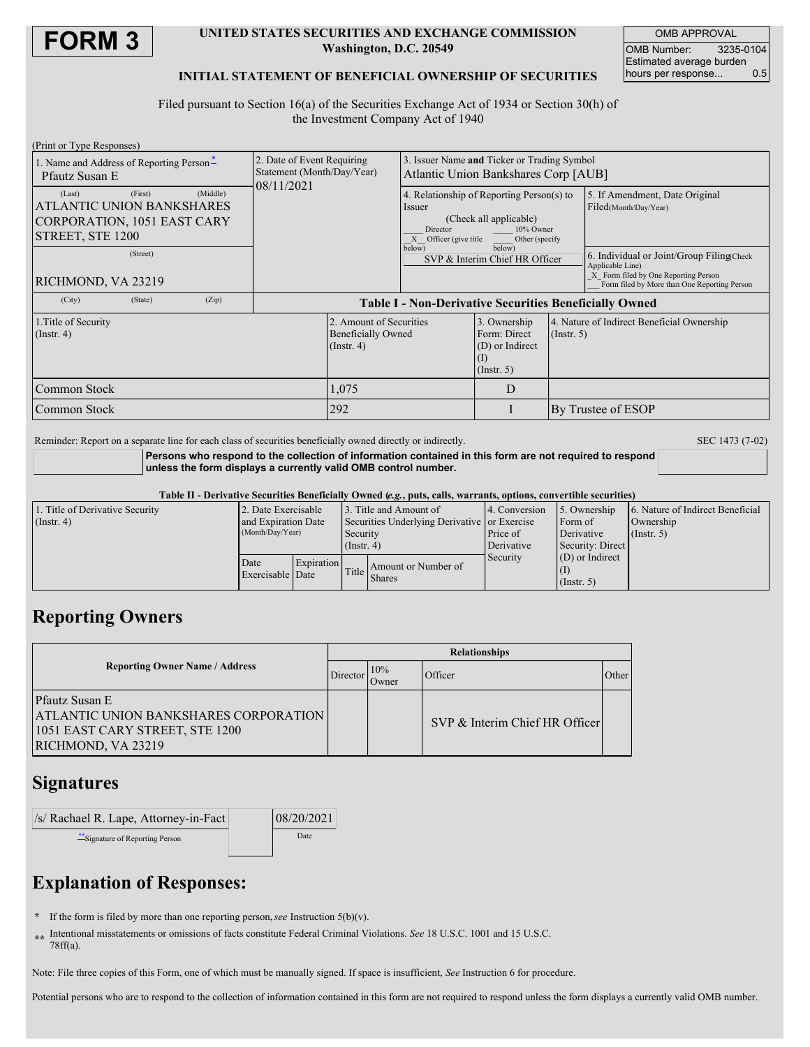

#### **UNITED STATES SECURITIES AND EXCHANGE COMMISSION Washington, D.C. 20549**

OMB APPROVAL OMB Number: 3235-0104 Estimated average burden<br>hours per response... 0.5 hours per response...

#### **INITIAL STATEMENT OF BENEFICIAL OWNERSHIP OF SECURITIES**

Filed pursuant to Section 16(a) of the Securities Exchange Act of 1934 or Section 30(h) of the Investment Company Act of 1940

| (Print or Type Responses)                                                                                     |                                                                        |                                                                                                                                                                                                         |   |                                                                |                                                                                                                                                        |  |  |
|---------------------------------------------------------------------------------------------------------------|------------------------------------------------------------------------|---------------------------------------------------------------------------------------------------------------------------------------------------------------------------------------------------------|---|----------------------------------------------------------------|--------------------------------------------------------------------------------------------------------------------------------------------------------|--|--|
| 1. Name and Address of Reporting Person <sup>*</sup><br>Pfautz Susan E                                        | 2. Date of Event Requiring<br>Statement (Month/Day/Year)<br>08/11/2021 | 3. Issuer Name and Ticker or Trading Symbol<br>Atlantic Union Bankshares Corp [AUB]                                                                                                                     |   |                                                                |                                                                                                                                                        |  |  |
| (First)<br>(Middle)<br>(Last)<br>ATLANTIC UNION BANKSHARES<br>CORPORATION, 1051 EAST CARY<br>STREET, STE 1200 |                                                                        | 4. Relationship of Reporting Person(s) to<br>Issuer<br>(Check all applicable)<br>10% Owner<br>Director<br>X Officer (give title<br>Other (specify<br>below)<br>below)<br>SVP & Interim Chief HR Officer |   |                                                                | 5. If Amendment, Date Original<br>Filed(Month/Day/Year)                                                                                                |  |  |
| (Street)<br>RICHMOND, VA 23219                                                                                |                                                                        |                                                                                                                                                                                                         |   |                                                                | 6. Individual or Joint/Group Filing(Check)<br>Applicable Line)<br>X Form filed by One Reporting Person<br>Form filed by More than One Reporting Person |  |  |
| (City)<br>(State)<br>(Zip)                                                                                    | <b>Table I - Non-Derivative Securities Beneficially Owned</b>          |                                                                                                                                                                                                         |   |                                                                |                                                                                                                                                        |  |  |
| 1. Title of Security<br>$($ Instr. 4 $)$                                                                      | $($ Instr. 4 $)$                                                       | 2. Amount of Securities<br><b>Beneficially Owned</b>                                                                                                                                                    |   | 4. Nature of Indirect Beneficial Ownership<br>$($ Instr. 5 $)$ |                                                                                                                                                        |  |  |
| Common Stock                                                                                                  | 1,075                                                                  |                                                                                                                                                                                                         | D |                                                                |                                                                                                                                                        |  |  |
| Common Stock                                                                                                  | 292                                                                    |                                                                                                                                                                                                         |   |                                                                | By Trustee of ESOP                                                                                                                                     |  |  |

Reminder: Report on a separate line for each class of securities beneficially owned directly or indirectly. SEC 1473 (7-02)

**Persons who respond to the collection of information contained in this form are not required to respond unless the form displays a currently valid OMB control number.**

Table II - Derivative Securities Beneficially Owned (e.g., puts, calls, warrants, options, convertible securities)

| 1. Title of Derivative Security | 2. Date Exercisable                     |            |                                              | 13. Title and Amount of | 4. Conversion | 5. Ownership      | 6. Nature of Indirect Beneficial |
|---------------------------------|-----------------------------------------|------------|----------------------------------------------|-------------------------|---------------|-------------------|----------------------------------|
| $($ Instr. 4 $)$                | and Expiration Date<br>(Month/Day/Year) |            | Securities Underlying Derivative or Exercise |                         |               | Form of           | Ownership                        |
|                                 |                                         |            | Security                                     |                         | Price of      | Derivative        | $($ Instr. 5 $)$                 |
|                                 |                                         |            | $($ Instr. 4)                                |                         | Derivative    | Security: Direct  |                                  |
|                                 | Date<br>Exercisable Date                | Expiration |                                              |                         | Security      | $(D)$ or Indirect |                                  |
|                                 |                                         |            | Title                                        | Amount or Number of     |               |                   |                                  |
|                                 |                                         |            |                                              | <b>Shares</b>           |               | (Insert, 5)       |                                  |

## **Reporting Owners**

|                                       |                                                                                                                                |          | <b>Relationships</b> |                                |       |  |  |  |
|---------------------------------------|--------------------------------------------------------------------------------------------------------------------------------|----------|----------------------|--------------------------------|-------|--|--|--|
| <b>Reporting Owner Name / Address</b> |                                                                                                                                | Director | 10%<br>Dwner         | Officer                        | Other |  |  |  |
|                                       | <b>Pfautz Susan E</b><br><b>ATLANTIC UNION BANKSHARES CORPORATION</b><br>1051 EAST CARY STREET, STE 1200<br>RICHMOND, VA 23219 |          |                      | SVP & Interim Chief HR Officer |       |  |  |  |

## **Signatures**

| /s/ Rachael R. Lape, Attorney-in-Fact | 08/20/2021 |
|---------------------------------------|------------|
| ** Signature of Reporting Person      | Date       |

# **Explanation of Responses:**

- **\*** If the form is filed by more than one reporting person,*see* Instruction 5(b)(v).
- **\*\*** Intentional misstatements or omissions of facts constitute Federal Criminal Violations. *See* 18 U.S.C. 1001 and 15 U.S.C. 78ff(a).

Note: File three copies of this Form, one of which must be manually signed. If space is insufficient, *See* Instruction 6 for procedure.

Potential persons who are to respond to the collection of information contained in this form are not required to respond unless the form displays a currently valid OMB number.